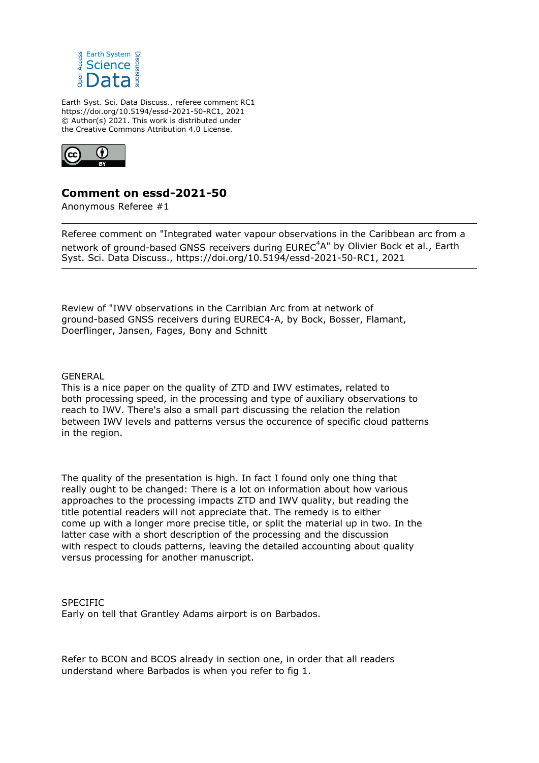

Earth Syst. Sci. Data Discuss., referee comment RC1 https://doi.org/10.5194/essd-2021-50-RC1, 2021 © Author(s) 2021. This work is distributed under the Creative Commons Attribution 4.0 License.



## **Comment on essd-2021-50**

Anonymous Referee #1

Referee comment on "Integrated water vapour observations in the Caribbean arc from a network of ground-based GNSS receivers during EUREC<sup>4</sup>A" by Olivier Bock et al., Earth Syst. Sci. Data Discuss., https://doi.org/10.5194/essd-2021-50-RC1, 2021

Review of "IWV observations in the Carribian Arc from at network of ground-based GNSS receivers during EUREC4-A, by Bock, Bosser, Flamant, Doerflinger, Jansen, Fages, Bony and Schnitt

GENERAL

This is a nice paper on the quality of ZTD and IWV estimates, related to both processing speed, in the processing and type of auxiliary observations to reach to IWV. There's also a small part discussing the relation the relation between IWV levels and patterns versus the occurence of specific cloud patterns in the region.

The quality of the presentation is high. In fact I found only one thing that really ought to be changed: There is a lot on information about how various approaches to the processing impacts ZTD and IWV quality, but reading the title potential readers will not appreciate that. The remedy is to either come up with a longer more precise title, or split the material up in two. In the latter case with a short description of the processing and the discussion with respect to clouds patterns, leaving the detailed accounting about quality versus processing for another manuscript.

**SPECIFIC** Early on tell that Grantley Adams airport is on Barbados.

Refer to BCON and BCOS already in section one, in order that all readers understand where Barbados is when you refer to fig 1.